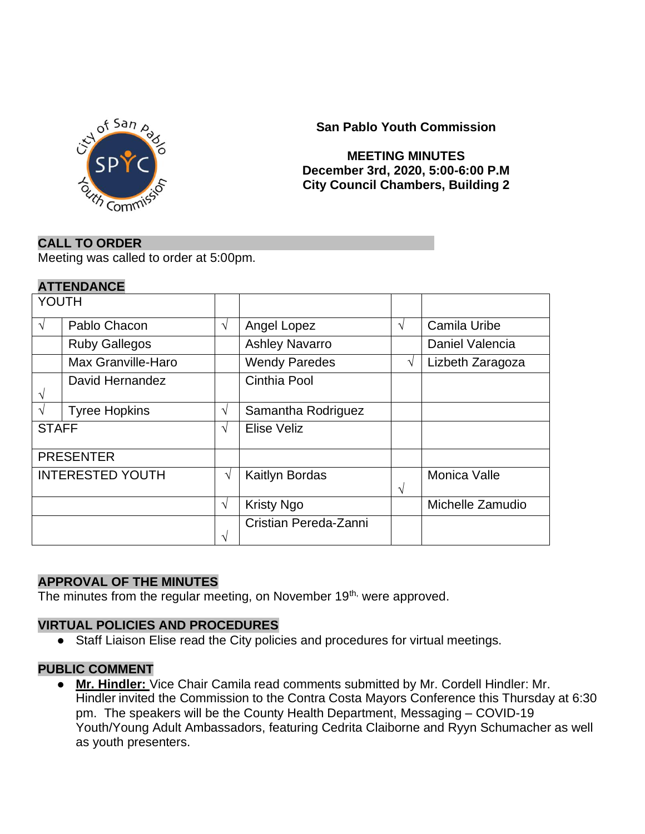

**San Pablo Youth Commission**

### **MEETING MINUTES December 3rd, 2020, 5:00-6:00 P.M City Council Chambers, Building 2**

### **CALL TO ORDER**

Meeting was called to order at 5:00pm.

### **ATTENDANCE**

| YOUTH                   |                      |               |                       |   |                  |
|-------------------------|----------------------|---------------|-----------------------|---|------------------|
| $\sqrt{ }$              | Pablo Chacon         | $\sqrt{ }$    | Angel Lopez           | V | Camila Uribe     |
|                         | <b>Ruby Gallegos</b> |               | <b>Ashley Navarro</b> |   | Daniel Valencia  |
|                         | Max Granville-Haro   |               | <b>Wendy Paredes</b>  | V | Lizbeth Zaragoza |
| V                       | David Hernandez      |               | Cinthia Pool          |   |                  |
| $\sqrt{ }$              | <b>Tyree Hopkins</b> | $\mathcal{N}$ | Samantha Rodriguez    |   |                  |
| <b>STAFF</b>            |                      | $\sqrt{ }$    | <b>Elise Veliz</b>    |   |                  |
| <b>PRESENTER</b>        |                      |               |                       |   |                  |
| <b>INTERESTED YOUTH</b> |                      | V             | Kaitlyn Bordas        | V | Monica Valle     |
|                         |                      | $\sqrt{ }$    | <b>Kristy Ngo</b>     |   | Michelle Zamudio |
|                         |                      | V             | Cristian Pereda-Zanni |   |                  |

### **APPROVAL OF THE MINUTES**

The minutes from the regular meeting, on November 19<sup>th,</sup> were approved.

#### **VIRTUAL POLICIES AND PROCEDURES**

● Staff Liaison Elise read the City policies and procedures for virtual meetings.

### **PUBLIC COMMENT**

● **Mr. Hindler:** Vice Chair Camila read comments submitted by Mr. Cordell Hindler: Mr. Hindler invited the Commission to the Contra Costa Mayors Conference this Thursday at 6:30 pm. The speakers will be the County Health Department, Messaging – COVID-19 Youth/Young Adult Ambassadors, featuring Cedrita Claiborne and Ryyn Schumacher as well as youth presenters.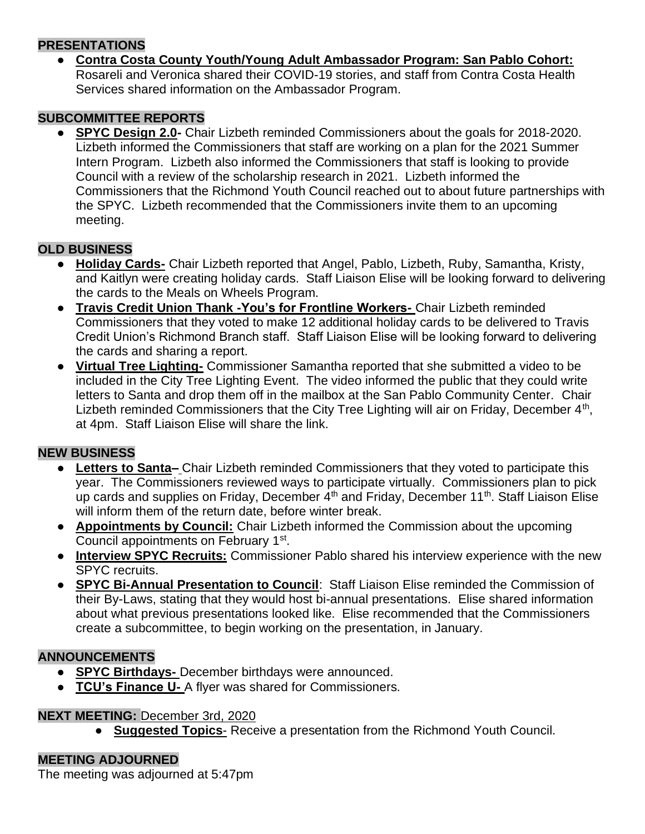### **PRESENTATIONS**

● **Contra Costa County Youth/Young Adult Ambassador Program: San Pablo Cohort:** Rosareli and Veronica shared their COVID-19 stories, and staff from Contra Costa Health Services shared information on the Ambassador Program.

## **SUBCOMMITTEE REPORTS**

● **SPYC Design 2.0-** Chair Lizbeth reminded Commissioners about the goals for 2018-2020. Lizbeth informed the Commissioners that staff are working on a plan for the 2021 Summer Intern Program. Lizbeth also informed the Commissioners that staff is looking to provide Council with a review of the scholarship research in 2021. Lizbeth informed the Commissioners that the Richmond Youth Council reached out to about future partnerships with the SPYC. Lizbeth recommended that the Commissioners invite them to an upcoming meeting.

# **OLD BUSINESS**

- **Holiday Cards-** Chair Lizbeth reported that Angel, Pablo, Lizbeth, Ruby, Samantha, Kristy, and Kaitlyn were creating holiday cards. Staff Liaison Elise will be looking forward to delivering the cards to the Meals on Wheels Program.
- **Travis Credit Union Thank -You's for Frontline Workers-** Chair Lizbeth reminded Commissioners that they voted to make 12 additional holiday cards to be delivered to Travis Credit Union's Richmond Branch staff. Staff Liaison Elise will be looking forward to delivering the cards and sharing a report.
- **Virtual Tree Lighting-** Commissioner Samantha reported that she submitted a video to be included in the City Tree Lighting Event. The video informed the public that they could write letters to Santa and drop them off in the mailbox at the San Pablo Community Center. Chair Lizbeth reminded Commissioners that the City Tree Lighting will air on Friday, December  $4<sup>th</sup>$ , at 4pm. Staff Liaison Elise will share the link.

## **NEW BUSINESS**

- **Letters to Santa–** Chair Lizbeth reminded Commissioners that they voted to participate this year. The Commissioners reviewed ways to participate virtually. Commissioners plan to pick up cards and supplies on Friday, December 4<sup>th</sup> and Friday, December 11<sup>th</sup>. Staff Liaison Elise will inform them of the return date, before winter break.
- **Appointments by Council:** Chair Lizbeth informed the Commission about the upcoming Council appointments on February 1<sup>st</sup>.
- **Interview SPYC Recruits:** Commissioner Pablo shared his interview experience with the new SPYC recruits.
- **SPYC Bi-Annual Presentation to Council**: Staff Liaison Elise reminded the Commission of their By-Laws, stating that they would host bi-annual presentations. Elise shared information about what previous presentations looked like. Elise recommended that the Commissioners create a subcommittee, to begin working on the presentation, in January.

## **ANNOUNCEMENTS**

- **SPYC Birthdays-** December birthdays were announced.
- **TCU's Finance U-** A flyer was shared for Commissioners.

### **NEXT MEETING:** December 3rd, 2020

● **Suggested Topics**- Receive a presentation from the Richmond Youth Council.

### **MEETING ADJOURNED**

The meeting was adjourned at 5:47pm